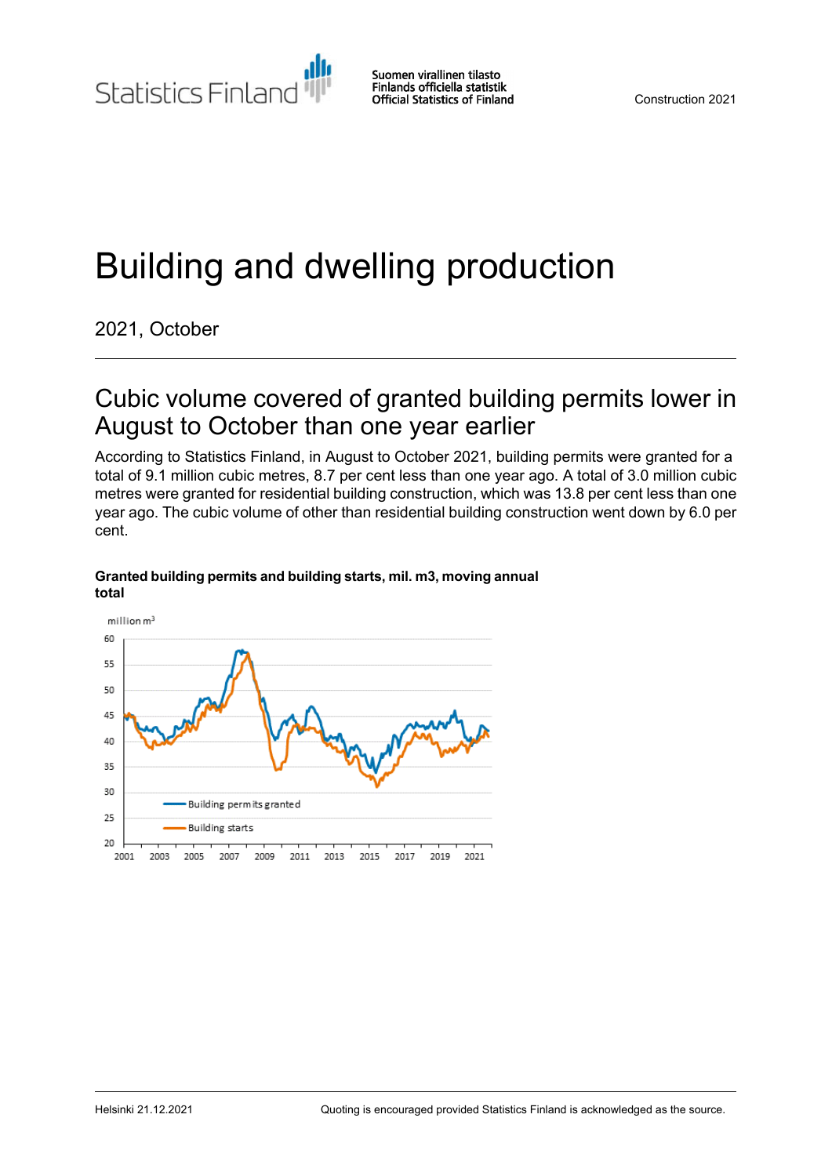Statistics Finland

Suomen virallinen tilasto Finlands officiella statistik **Official Statistics of Finland** 

# Building and dwelling production

2021, October

## Cubic volume covered of granted building permits lower in August to October than one year earlier

According to Statistics Finland, in August to October 2021, building permits were granted for a total of 9.1 million cubic metres, 8.7 per cent less than one year ago. A total of 3.0 million cubic metres were granted for residential building construction, which was 13.8 per cent less than one year ago. The cubic volume of other than residential building construction went down by 6.0 per cent.

#### **Granted building permitsand building starts, mil. m3, moving annual total**

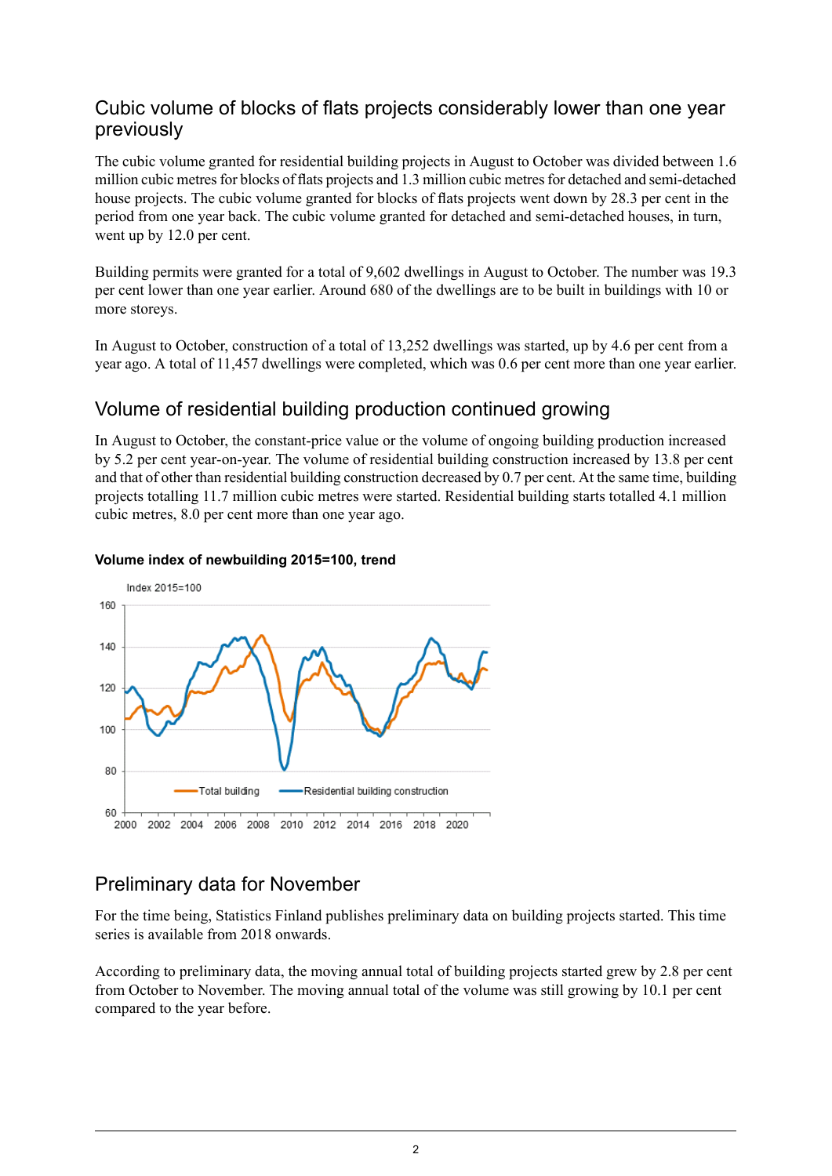### Cubic volume of blocks of flats projects considerably lower than one year previously

The cubic volume granted for residential building projects in August to October was divided between 1.6 million cubic metres for blocks of flats projects and 1.3 million cubic metres for detached and semi-detached house projects. The cubic volume granted for blocks of flats projects went down by 28.3 per cent in the period from one year back. The cubic volume granted for detached and semi-detached houses, in turn, went up by 12.0 per cent.

Building permits were granted for a total of 9,602 dwellings in August to October. The number was 19.3 per cent lower than one year earlier. Around 680 of the dwellings are to be built in buildings with 10 or more storeys.

In August to October, construction of a total of 13,252 dwellings was started, up by 4.6 per cent from a year ago. A total of 11,457 dwellings were completed, which was 0.6 per cent more than one year earlier.

## Volume of residential building production continued growing

In August to October, the constant-price value or the volume of ongoing building production increased by 5.2 per cent year-on-year. The volume of residential building construction increased by 13.8 per cent and that of other than residential building construction decreased by 0.7 per cent. At the same time, building projects totalling 11.7 million cubic metres were started. Residential building starts totalled 4.1 million cubic metres, 8.0 per cent more than one year ago.



#### **Volume index of newbuilding 2015=100, trend**

## Preliminary data for November

For the time being, Statistics Finland publishes preliminary data on building projects started. This time series is available from 2018 onwards.

According to preliminary data, the moving annual total of building projects started grew by 2.8 per cent from October to November. The moving annual total of the volume was still growing by 10.1 per cent compared to the year before.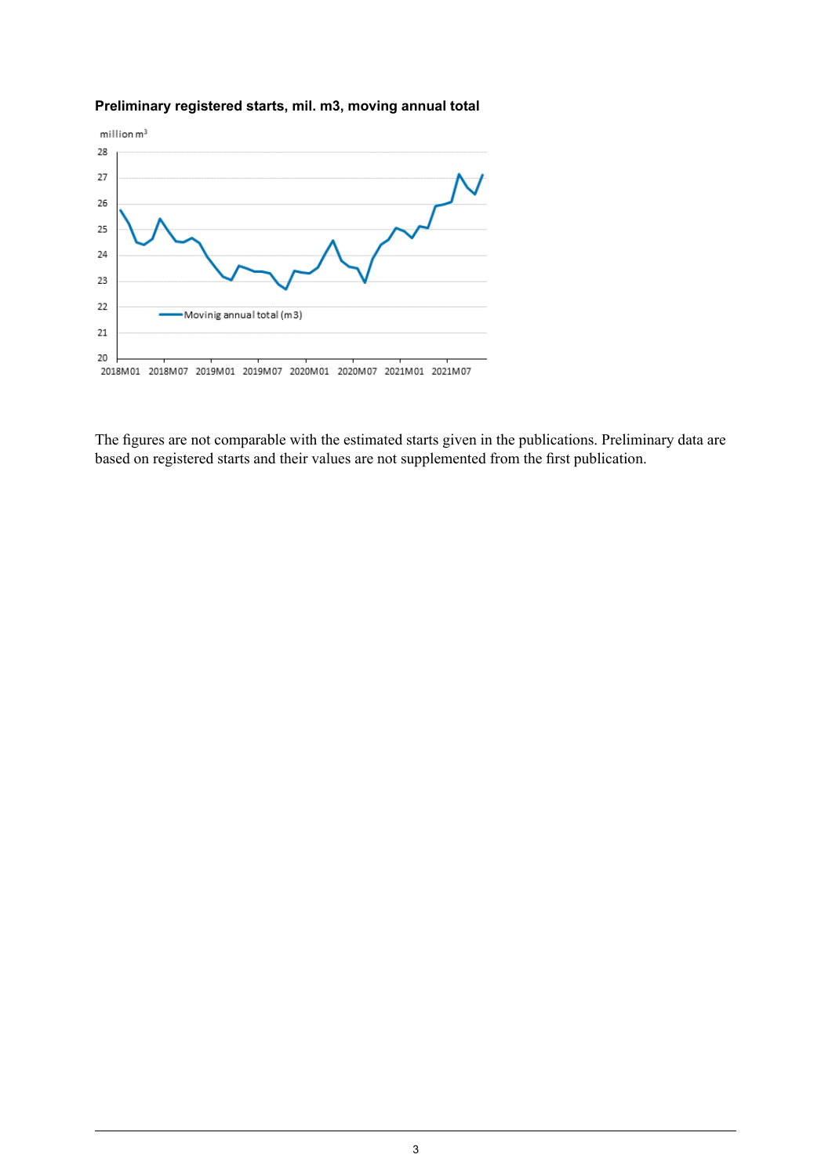#### **Preliminary registered starts, mil. m3, moving annual total**



The figures are not comparable with the estimated starts given in the publications. Preliminary data are based on registered starts and their values are not supplemented from the first publication.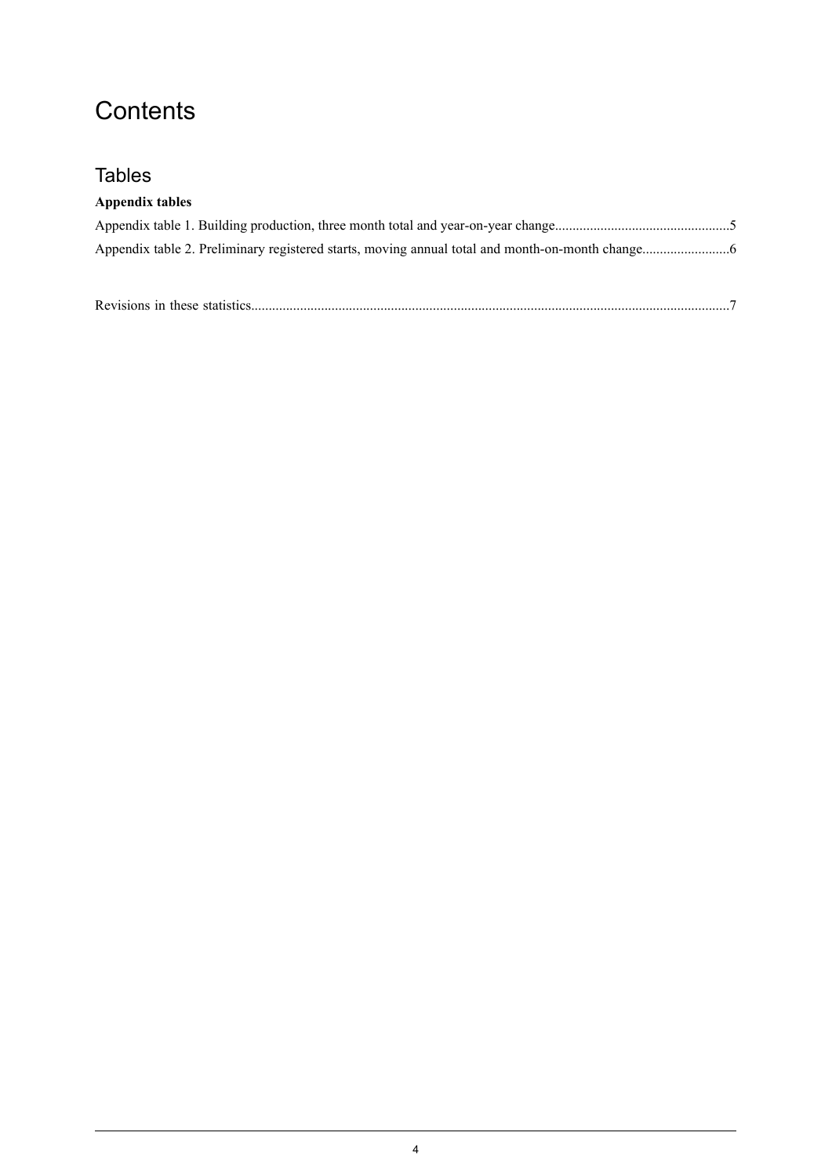## **Contents**

## **Tables**

| Appendix tables |  |
|-----------------|--|
|                 |  |
|                 |  |

| Revisions in these statistics. |
|--------------------------------|
|                                |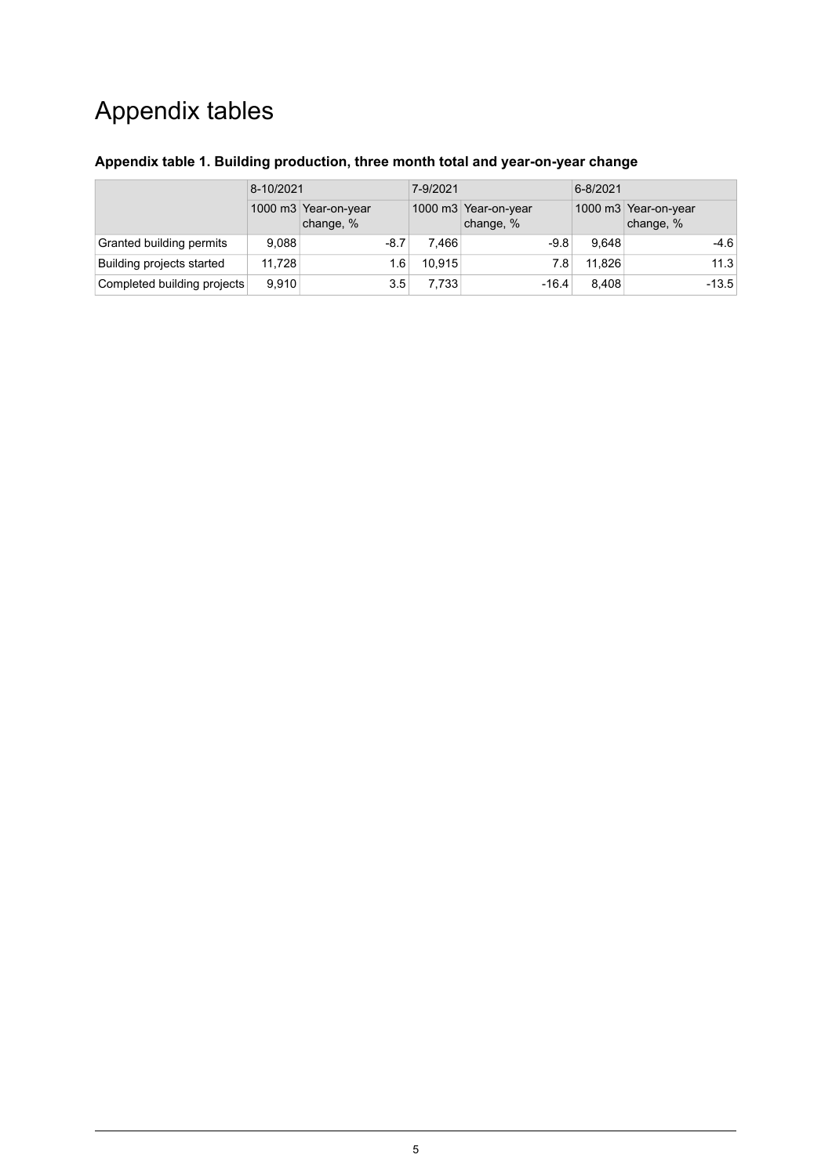## Appendix tables

| 8-10/2021                   |        | 7-9/2021                          |        | $6 - 8/2021$                      |        |                                   |
|-----------------------------|--------|-----------------------------------|--------|-----------------------------------|--------|-----------------------------------|
|                             |        | 1000 m3 Year-on-year<br>change, % |        | 1000 m3 Year-on-year<br>change, % |        | 1000 m3 Year-on-year<br>change, % |
| Granted building permits    | 9.088  | $-8.7$                            | 7.466  | $-9.8$                            | 9.648  | $-4.6$                            |
| Building projects started   | 11.728 | 1.6                               | 10.915 | 7.8                               | 11.826 | 11.3                              |
| Completed building projects | 9.910  | 3.5                               | 7.733  | $-16.4$                           | 8.408  | $-13.5$                           |

### <span id="page-4-0"></span>**Appendix table 1. Building production, three month total and year-on-year change**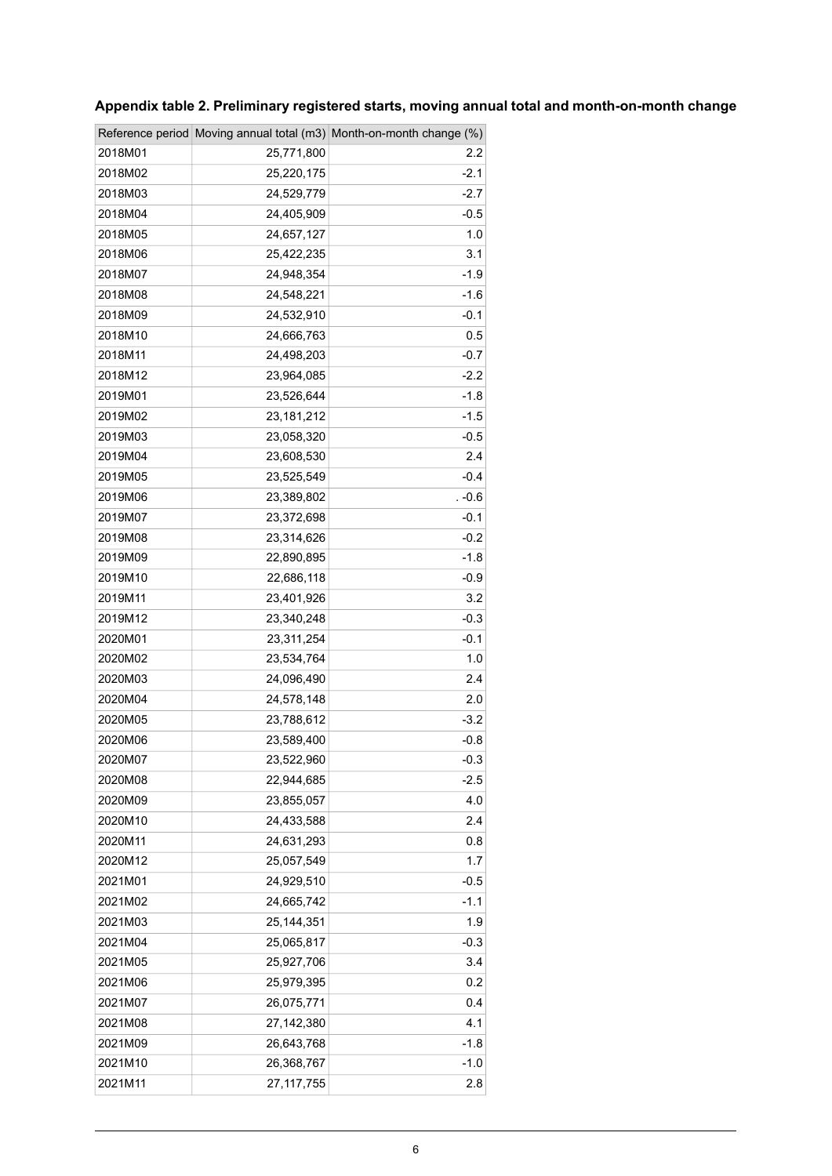|         |              | Reference period Moving annual total (m3) Month-on-month change (%) |
|---------|--------------|---------------------------------------------------------------------|
| 2018M01 | 25,771,800   | 2.2                                                                 |
| 2018M02 | 25,220,175   | $-2.1$                                                              |
| 2018M03 | 24,529,779   | -2.7                                                                |
| 2018M04 | 24,405,909   | $-0.5$                                                              |
| 2018M05 | 24,657,127   | 1.0                                                                 |
| 2018M06 | 25,422,235   | 3.1                                                                 |
| 2018M07 | 24,948,354   | $-1.9$                                                              |
| 2018M08 | 24,548,221   | $-1.6$                                                              |
| 2018M09 | 24,532,910   | $-0.1$                                                              |
| 2018M10 | 24,666,763   | 0.5                                                                 |
| 2018M11 | 24,498,203   | $-0.7$                                                              |
| 2018M12 | 23,964,085   | $-2.2$                                                              |
| 2019M01 | 23,526,644   | $-1.8$                                                              |
| 2019M02 | 23, 181, 212 | $-1.5$                                                              |
| 2019M03 | 23,058,320   | $-0.5$                                                              |
| 2019M04 | 23,608,530   | 2.4                                                                 |
| 2019M05 | 23,525,549   | $-0.4$                                                              |
| 2019M06 | 23,389,802   | . -0.6                                                              |
| 2019M07 | 23,372,698   | $-0.1$                                                              |
| 2019M08 | 23,314,626   | $-0.2$                                                              |
| 2019M09 | 22,890,895   | -1.8                                                                |
| 2019M10 | 22,686,118   | $-0.9$                                                              |
| 2019M11 | 23,401,926   | 3.2                                                                 |
| 2019M12 | 23,340,248   | $-0.3$                                                              |
| 2020M01 | 23,311,254   | $-0.1$                                                              |
| 2020M02 | 23,534,764   | 1.0                                                                 |
| 2020M03 | 24,096,490   | 2.4                                                                 |
| 2020M04 | 24,578,148   | 2.0                                                                 |
| 2020M05 | 23,788,612   | $-3.2$                                                              |
| 2020M06 | 23,589,400   | $-0.8$                                                              |
| 2020M07 | 23,522,960   | $-0.3$                                                              |
| 2020M08 | 22,944,685   | $-2.5$                                                              |
| 2020M09 | 23,855,057   | 4.0                                                                 |
| 2020M10 | 24,433,588   | 2.4                                                                 |
| 2020M11 | 24,631,293   | 0.8                                                                 |
| 2020M12 | 25,057,549   | 1.7                                                                 |
| 2021M01 | 24,929,510   | $-0.5$                                                              |
| 2021M02 | 24,665,742   | $-1.1$                                                              |
| 2021M03 | 25, 144, 351 | 1.9                                                                 |
| 2021M04 | 25,065,817   | $-0.3$                                                              |
| 2021M05 | 25,927,706   | 3.4                                                                 |
| 2021M06 | 25,979,395   | 0.2                                                                 |
| 2021M07 | 26,075,771   | 0.4                                                                 |
| 2021M08 | 27,142,380   | 4.1                                                                 |
| 2021M09 | 26,643,768   | $-1.8$                                                              |
| 2021M10 | 26,368,767   | $-1.0$                                                              |
| 2021M11 | 27,117,755   | 2.8                                                                 |

## <span id="page-5-0"></span>**Appendix table 2. Preliminary registered starts, moving annual total and month-on-month change**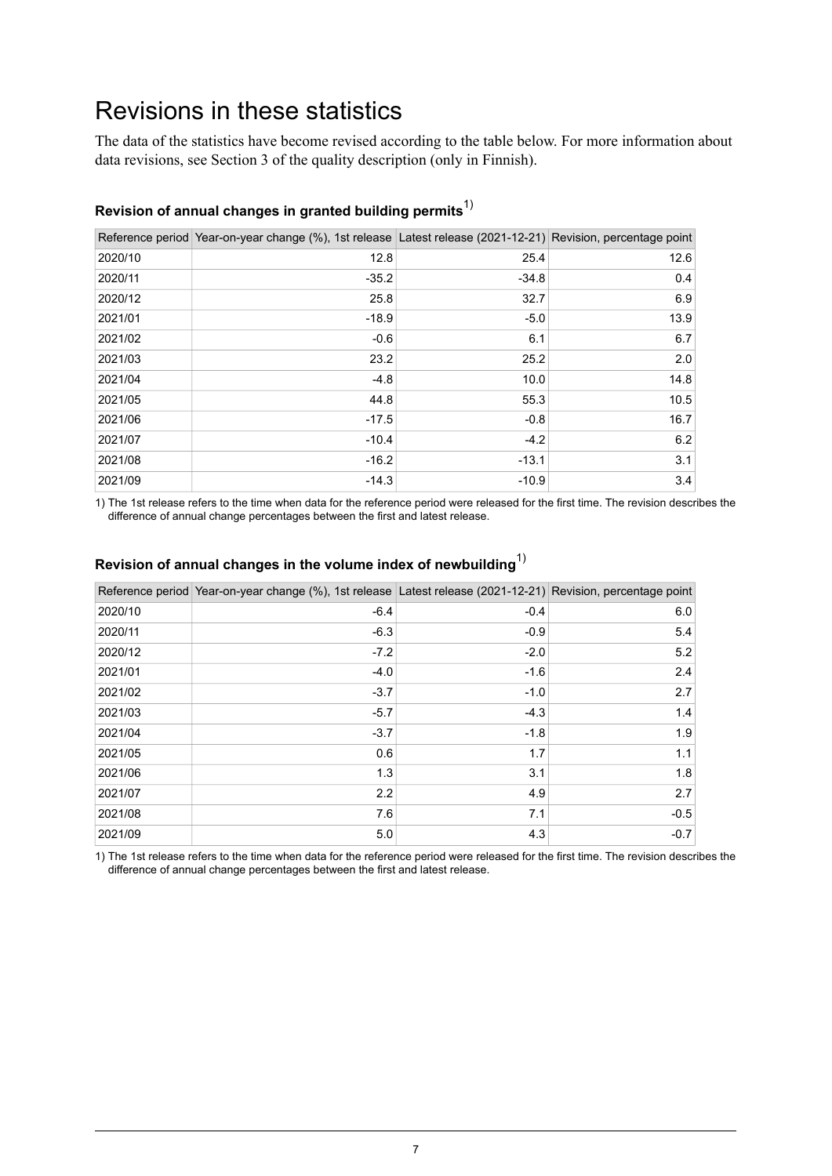## <span id="page-6-0"></span>Revisions in these statistics

The data of the statistics have become revised according to the table below. For more information about data revisions, see Section 3 of the quality description (only in Finnish).

|         | Reference period Year-on-year change (%), 1st release Latest release (2021-12-21) Revision, percentage point |         |      |
|---------|--------------------------------------------------------------------------------------------------------------|---------|------|
| 2020/10 | 12.8                                                                                                         | 25.4    | 12.6 |
| 2020/11 | $-35.2$                                                                                                      | $-34.8$ | 0.4  |
| 2020/12 | 25.8                                                                                                         | 32.7    | 6.9  |
| 2021/01 | $-18.9$                                                                                                      | $-5.0$  | 13.9 |
| 2021/02 | $-0.6$                                                                                                       | 6.1     | 6.7  |
| 2021/03 | 23.2                                                                                                         | 25.2    | 2.0  |
| 2021/04 | $-4.8$                                                                                                       | 10.0    | 14.8 |
| 2021/05 | 44.8                                                                                                         | 55.3    | 10.5 |
| 2021/06 | $-17.5$                                                                                                      | $-0.8$  | 16.7 |
| 2021/07 | $-10.4$                                                                                                      | $-4.2$  | 6.2  |
| 2021/08 | $-16.2$                                                                                                      | $-13.1$ | 3.1  |
| 2021/09 | $-14.3$                                                                                                      | $-10.9$ | 3.4  |

#### **Revision of annual changes in granted building permits**1)

1) The 1st release refers to the time when data for the reference period were released for the first time. The revision describes the difference of annual change percentages between the first and latest release.

|         | Reference period Year-on-year change (%), 1st release Latest release (2021-12-21) Revision, percentage point |        |        |
|---------|--------------------------------------------------------------------------------------------------------------|--------|--------|
| 2020/10 | $-6.4$                                                                                                       | $-0.4$ | 6.0    |
| 2020/11 | $-6.3$                                                                                                       | $-0.9$ | 5.4    |
| 2020/12 | $-7.2$                                                                                                       | $-2.0$ | 5.2    |
| 2021/01 | $-4.0$                                                                                                       | $-1.6$ | 2.4    |
| 2021/02 | $-3.7$                                                                                                       | $-1.0$ | 2.7    |
| 2021/03 | $-5.7$                                                                                                       | $-4.3$ | 1.4    |
| 2021/04 | $-3.7$                                                                                                       | $-1.8$ | 1.9    |
| 2021/05 | 0.6                                                                                                          | 1.7    | 1.1    |
| 2021/06 | 1.3                                                                                                          | 3.1    | 1.8    |
| 2021/07 | 2.2                                                                                                          | 4.9    | 2.7    |
| 2021/08 | 7.6                                                                                                          | 7.1    | $-0.5$ |
| 2021/09 | 5.0                                                                                                          | 4.3    | $-0.7$ |

#### **Revision of annual changes in the volume index of newbuilding**1)

1) The 1st release refers to the time when data for the reference period were released for the first time. The revision describes the difference of annual change percentages between the first and latest release.